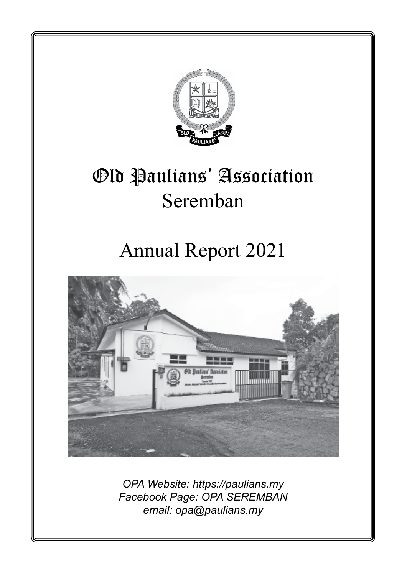

*OPA Website: https://paulians.my Facebook Page: OPA SEREMBAN email: opa@paulians.my*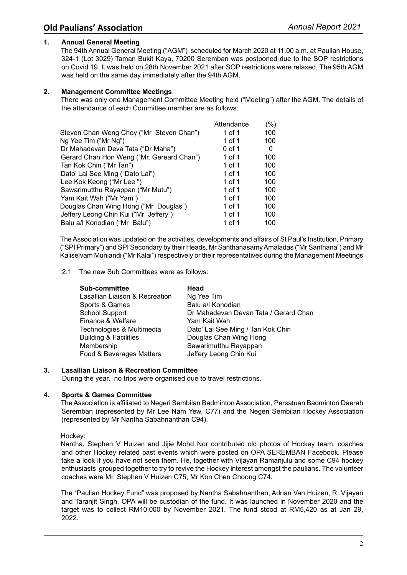## **1. Annual General Meeting**

The 94th Annual General Meeting ("AGM") scheduled for March 2020 at 11.00 a.m. at Paulian House, 324-1 (Lot 3029) Taman Bukit Kaya, 70200 Seremban was postponed due to the SOP restrictions on Covid 19. It was held on 28th November 2021 after SOP restrictions were relaxed. The 95th AGM was held on the same day immediately after the 94th AGM.

## **2. Management Committee Meetings**

There was only one Management Committee Meeting held ("Meeting") after the AGM. The details of the attendance of each Committee member are as follows:

|                                           | Attendance | (%) |
|-------------------------------------------|------------|-----|
| Steven Chan Weng Choy ("Mr Steven Chan")  | 1 of 1     | 100 |
| Ng Yee Tim ("Mr Ng")                      | 1 of 1     | 100 |
| Dr Mahadevan Deva Tata ("Dr Maha")        | 0 of 1     | 0   |
| Gerard Chan Hon Weng ("Mr. Gereard Chan") | 1 of 1     | 100 |
| Tan Kok Chin ("Mr Tan")                   | 1 of 1     | 100 |
| Dato' Lai See Ming ("Dato Lai")           | 1 of 1     | 100 |
| Lee Kok Keong ("Mr Lee ")                 | 1 of 1     | 100 |
| Sawarimutthu Rayappan ("Mr Mutu")         | 1 of 1     | 100 |
| Yam Kait Wah ("Mr Yam")                   | 1 of 1     | 100 |
| Douglas Chan Wing Hong ("Mr Douglas")     | 1 of 1     | 100 |
| Jeffery Leong Chin Kui ("Mr Jeffery")     | 1 of 1     | 100 |
| Balu a/l Konodian ("Mr Balu")             | 1 of 1     | 100 |
|                                           |            |     |

TheAssociation was updated on the activities, developments and affairs of St Paul's Institution, Primary ("SPI Primary") and SPI Secondary by their Heads, Mr Santhanasamy Amaladas ("Mr Santhana") and Mr Kaliselvam Muniandi ("Mr Kalai") respectively or their representatives during the Management Meetings

## 2.1 The new Sub Committees were as follows:

| <b>Sub-committee</b>             | Head                                  |
|----------------------------------|---------------------------------------|
| Lasallian Liaison & Recreation   | Ng Yee Tim                            |
| Sports & Games                   | Balu a/l Konodian                     |
| <b>School Support</b>            | Dr Mahadevan Devan Tata / Gerard Chan |
| Finance & Welfare                | Yam Kait Wah                          |
| Technologies & Multimedia        | Dato' Lai See Ming / Tan Kok Chin     |
| <b>Building &amp; Facilities</b> | Douglas Chan Wing Hong                |
| Membership                       | Sawarimutthu Rayappan                 |
| Food & Beverages Matters         | Jeffery Leong Chin Kui                |

## **3. Lasallian Liaison & Recreation Committee**

During the year, no trips were organised due to travel restrictions.

## **4. Sports & Games Committee**

TheAssociation is affiliated to Negeri Sembilan BadmintonAssociation, Persatuan Badminton Daerah Seremban (represented by Mr Lee Nam Yew, C77) and the Negeri Sembilan Hockey Association (represented by Mr Nantha Sabahnanthan C94).

Hockey:

Nantha, Stephen V Huizen and Jijie Mohd Nor contributed old photos of Hockey team, coaches and other Hockey related past events which were posted on OPA SEREMBAN Facebook. Please take a look if you have not seen them. He, together with Vijayan Ramanjulu and some C94 hockey enthusiasts grouped together to try to revive the Hockey interest amongst the paulians. The volunteer coaches were Mr. Stephen V Huizen C75, Mr Kon Chen Choong C74.

The "Paulian Hockey Fund" was proposed by Nantha Sabahnanthan, Adrian Van Huizen, R. Vijayan and Taranjit Singh. OPA will be custodian of the fund. It was launched in November 2020 and the target was to collect RM10,000 by November 2021. The fund stood at RM5,420 as at Jan 29, 2022.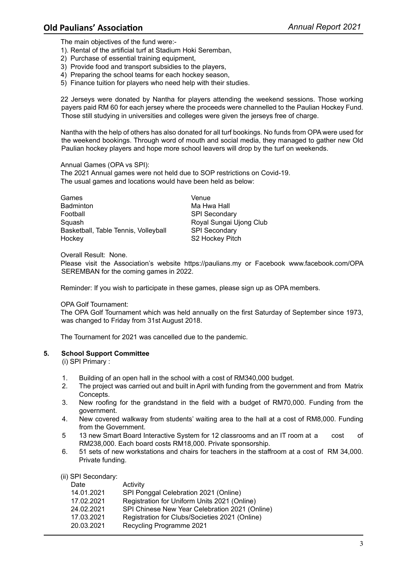The main objectives of the fund were:-

- 1). Rental of the artificial turf at Stadium Hoki Seremban,
- 2) Purchase of essential training equipment,
- 3) Provide food and transport subsidies to the players,
- 4) Preparing the school teams for each hockey season,
- 5) Finance tuition for players who need help with their studies.

22 Jerseys were donated by Nantha for players attending the weekend sessions. Those working payers paid RM 60 for each jersey where the proceeds were channelled to the Paulian Hockey Fund. Those still studying in universities and colleges were given the jerseys free of charge.

Nantha with the help of others has also donated for all turf bookings. No funds from OPA were used for the weekend bookings. Through word of mouth and social media, they managed to gather new Old Paulian hockey players and hope more school leavers will drop by the turf on weekends.

## Annual Games (OPA vs SPI):

The 2021 Annual games were not held due to SOP restrictions on Covid-19. The usual games and locations would have been held as below:

| Games                                | Venue                   |
|--------------------------------------|-------------------------|
| Badminton                            | Ma Hwa Hall             |
| Football                             | <b>SPI Secondary</b>    |
| Squash                               | Royal Sungai Ujong Club |
| Basketball, Table Tennis, Volleyball | <b>SPI Secondary</b>    |
| Hockey                               | S2 Hockey Pitch         |

Overall Result: None.

Please visit the Association's website https://paulians.my or Facebook www.facebook.com/OPA SEREMBAN for the coming games in 2022.

Reminder: If you wish to participate in these games, please sign up as OPA members.

## OPA Golf Tournament:

The OPA Golf Tournament which was held annually on the first Saturday of September since 1973, was changed to Friday from 31st August 2018.

The Tournament for 2021 was cancelled due to the pandemic.

## **5. School Support Committee**

(i) SPI Primary :

- 1. Building of an open hall in the school with a cost of RM340,000 budget.<br>2. The project was carried out and built in April with funding from the govern
- 2. The project was carried out and built in April with funding from the government and from Matrix Concepts.
- 3. New roofing for the grandstand in the field with a budget of RM70,000. Funding from the government.
- 4. New covered walkway from students' waiting area to the hall at a cost of RM8,000. Funding from the Government.
- 5 13 new Smart Board Interactive System for 12 classrooms and an IT room at a cost of RM238,000. Each board costs RM18,000. Private sponsorship.
- 6. 51 sets of new workstations and chairs for teachers in the staffroom at a cost of RM 34,000. Private funding.

|  | (ii) SPI Secondary: |
|--|---------------------|
|--|---------------------|

| Date       | Activity                                       |
|------------|------------------------------------------------|
| 14.01.2021 | SPI Ponggal Celebration 2021 (Online)          |
| 17.02.2021 | Registration for Uniform Units 2021 (Online)   |
| 24.02.2021 | SPI Chinese New Year Celebration 2021 (Online) |
| 17.03.2021 | Registration for Clubs/Societies 2021 (Online) |
| 20.03.2021 | Recycling Programme 2021                       |
|            |                                                |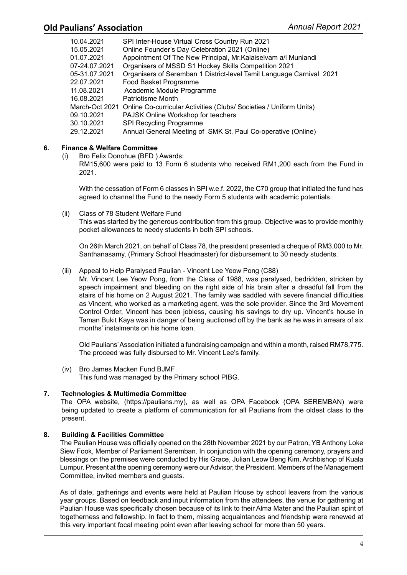| 10.04.2021    | SPI Inter-House Virtual Cross Country Run 2021                                    |
|---------------|-----------------------------------------------------------------------------------|
| 15.05.2021    | Online Founder's Day Celebration 2021 (Online)                                    |
| 01.07.2021    | Appointment Of The New Principal, Mr. Kalaiselvam a/l Muniandi                    |
| 07-24.07.2021 | Organisers of MSSD S1 Hockey Skills Competition 2021                              |
| 05-31.07.2021 | Organisers of Seremban 1 District-level Tamil Language Carnival 2021              |
| 22.07.2021    | Food Basket Programme                                                             |
| 11.08.2021    | Academic Module Programme                                                         |
| 16.08.2021    | Patriotisme Month                                                                 |
|               | March-Oct 2021 Online Co-curricular Activities (Clubs/ Societies / Uniform Units) |
| 09.10.2021    | PAJSK Online Workshop for teachers                                                |
| 30.10.2021    | SPI Recycling Programme                                                           |
| 29.12.2021    | Annual General Meeting of SMK St. Paul Co-operative (Online)                      |

# **6. Finance & Welfare Committee**

- (i) Bro Felix Donohue (BFD ) Awards:
	- RM15,600 were paid to 13 Form 6 students who received RM1,200 each from the Fund in 2021.

 With the cessation of Form 6 classes in SPI w.e.f. 2022, the C70 group that initiated the fund has agreed to channel the Fund to the needy Form 5 students with academic potentials.

(ii) Class of 78 Student Welfare Fund This was started by the generous contribution from this group. Objective was to provide monthly pocket allowances to needy students in both SPI schools.

 On 26th March 2021, on behalf of Class 78, the president presented a cheque of RM3,000 to Mr. Santhanasamy, (Primary School Headmaster) for disbursement to 30 needy students.

(iii) Appeal to Help Paralysed Paulian - Vincent Lee Yeow Pong (C88)

 Mr. Vincent Lee Yeow Pong, from the Class of 1988, was paralysed, bedridden, stricken by speech impairment and bleeding on the right side of his brain after a dreadful fall from the stairs of his home on 2 August 2021. The family was saddled with severe financial difficulties as Vincent, who worked as a marketing agent, was the sole provider. Since the 3rd Movement Control Order, Vincent has been jobless, causing his savings to dry up. Vincent's house in Taman Bukit Kaya was in danger of being auctioned off by the bank as he was in arrears of six months' instalments on his home loan.

 Old Paulians' Association initiated a fundraising campaign and within a month, raised RM78,775. The proceed was fully disbursed to Mr. Vincent Lee's family.

(iv) Bro James Macken Fund BJMF This fund was managed by the Primary school PIBG.

# **7. Technologies & Multimedia Committee**

The OPA website, (https://paulians.my), as well as OPA Facebook (OPA SEREMBAN) were being updated to create a platform of communication for all Paulians from the oldest class to the present.

# **8. Building & Facilities Committee**

The Paulian House was officially opened on the 28th November 2021 by our Patron, YB Anthony Loke Siew Fook, Member of Parliament Seremban. In conjunction with the opening ceremony, prayers and blessings on the premises were conducted by His Grace, Julian Leow Beng Kim, Archbishop of Kuala Lumpur. Present at the opening ceremony were our Advisor, the President, Members of the Management Committee, invited members and guests.

As of date, gatherings and events were held at Paulian House by school leavers from the various year groups. Based on feedback and input information from the attendees, the venue for gathering at Paulian House was specifically chosen because of its link to their Alma Mater and the Paulian spirit of togetherness and fellowship. In fact to them, missing acquaintances and friendship were renewed at this very important focal meeting point even after leaving school for more than 50 years.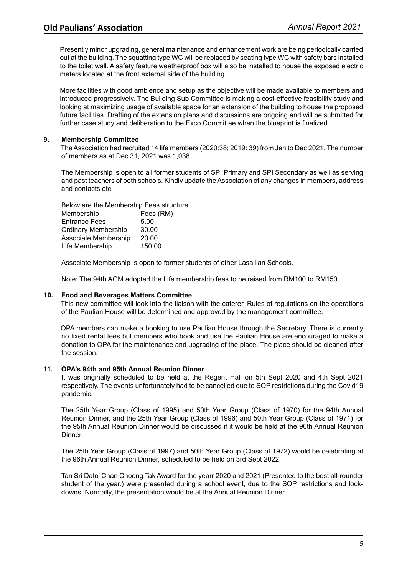Presently minor upgrading, general maintenance and enhancement work are being periodically carried out at the building. The squatting type WC will be replaced by seating type WC with safety bars installed to the toilet wall. A safety feature weatherproof box will also be installed to house the exposed electric meters located at the front external side of the building.

More facilities with good ambience and setup as the objective will be made available to members and introduced progressively. The Building Sub Committee is making a cost-effective feasibility study and looking at maximizing usage of available space for an extension of the building to house the proposed future facilities. Drafting of the extension plans and discussions are ongoing and will be submitted for further case study and deliberation to the Exco Committee when the blueprint is finalized.

## **9. Membership Committee**

The Association had recruited 14 life members (2020:38; 2019: 39) from Jan to Dec 2021. The number of members as at Dec 31, 2021 was 1,038.

The Membership is open to all former students of SPI Primary and SPI Secondary as well as serving and past teachers of both schools. Kindly update the Association of any changes in members, address and contacts etc.

Below are the Membership Fees structure.

| Membership                 | Fees (RM) |
|----------------------------|-----------|
| <b>Entrance Fees</b>       | 5.00      |
| <b>Ordinary Membership</b> | 30.00     |
| Associate Membership       | 20.00     |
| Life Membership            | 150.00    |
|                            |           |

Associate Membership is open to former students of other Lasallian Schools.

Note: The 94th AGM adopted the Life membership fees to be raised from RM100 to RM150.

## **10. Food and Beverages Matters Committee**

This new committee will look into the liaison with the caterer. Rules of regulations on the operations of the Paulian House will be determined and approved by the management committee.

OPA members can make a booking to use Paulian House through the Secretary. There is currently no fixed rental fees but members who book and use the Paulian House are encouraged to make a donation to OPA for the maintenance and upgrading of the place. The place should be cleaned after the session.

## **11. OPA's 94th and 95th Annual Reunion Dinner**

It was originally scheduled to be held at the Regent Hall on 5th Sept 2020 and 4th Sept 2021 respectively. The events unfortunately had to be cancelled due to SOP restrictions during the Covid19 pandemic.

The 25th Year Group (Class of 1995) and 50th Year Group (Class of 1970) for the 94th Annual Reunion Dinner, and the 25th Year Group (Class of 1996) and 50th Year Group (Class of 1971) for the 95th Annual Reunion Dinner would be discussed if it would be held at the 96th Annual Reunion Dinner.

The 25th Year Group (Class of 1997) and 50th Year Group (Class of 1972) would be celebrating at the 96th Annual Reunion Dinner, scheduled to be held on 3rd Sept 2022.

Tan Sri Dato' Chan Choong Tak Award for the yearr 2020 and 2021 (Presented to the best all-rounder student of the year.) were presented during a school event, due to the SOP restrictions and lockdowns. Normally, the presentation would be at the Annual Reunion Dinner.